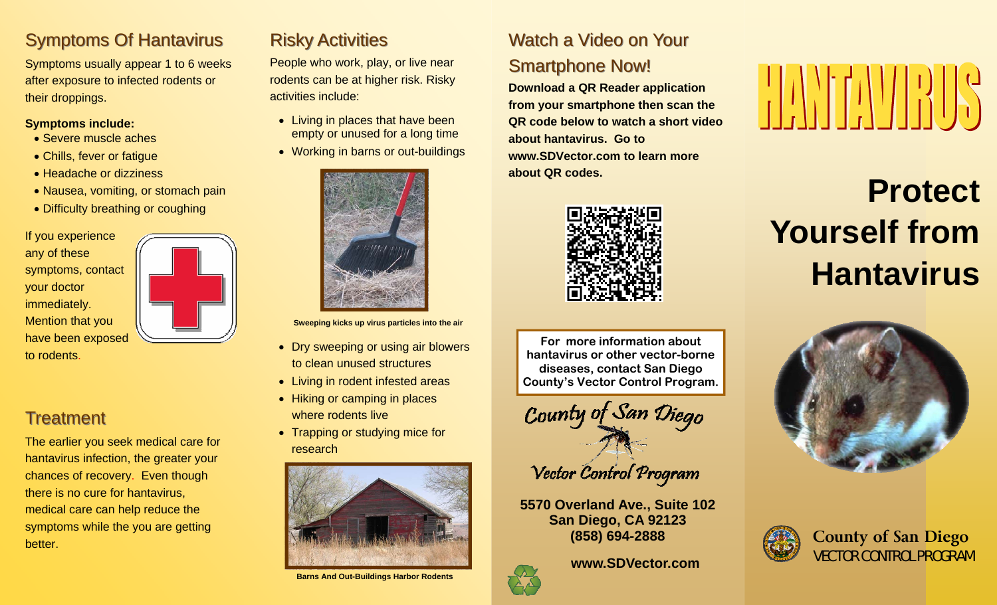### **Symptoms Of Hantavirus**

Symptoms usually appear 1 to 6 weeks after exposure to infected rodents or their droppings.

### **Symptoms include:**

- Severe muscle aches
- Chills, fever or fatigue
- Headache or dizziness
- Nausea, vomiting, or stomach pain
- Difficulty breathing or coughing

If you experience any of these symptoms, contact your doctor immediately. Mention that you have been exposed to rodents.

**Treatment** 

The earlier you seek medical care for hantavirus infection, the greater your chances of recovery. Even though there is no cure for hantavirus, medical care can help reduce the symptoms while the you are getting better.

### **Risky Activities**

People who work, play, or live near rodents can be at higher risk. Risky activities include:

- Living in places that have been empty or unused for a long time
- Working in barns or out-buildings



**Sweeping kicks up virus particles into the air** 

- Dry sweeping or using air blowers to clean unused structures
- Living in rodent infested areas
- Hiking or camping in places where rodents live
- Trapping or studying mice for research



**Barns And Out-Buildings Harbor Rodents** 

### Watch a Video on Your

### **Smartphone Now!**

**Download a QR Reader application from your smartphone then scan the QR code below to watch a short video about hantavirus. Go to www.SDVector.com to learn more about QR codes.** 



**For more information about hantavirus or other vector-borne diseases, contact San Diego County's Vector Control Program.** 



Vector Control Program

**5570 Overland Ave., Suite 102 San Diego, CA 92123 (858) 694-2888** 

**www.SDVector.com**



## **Protect Yourself from Hantavirus**